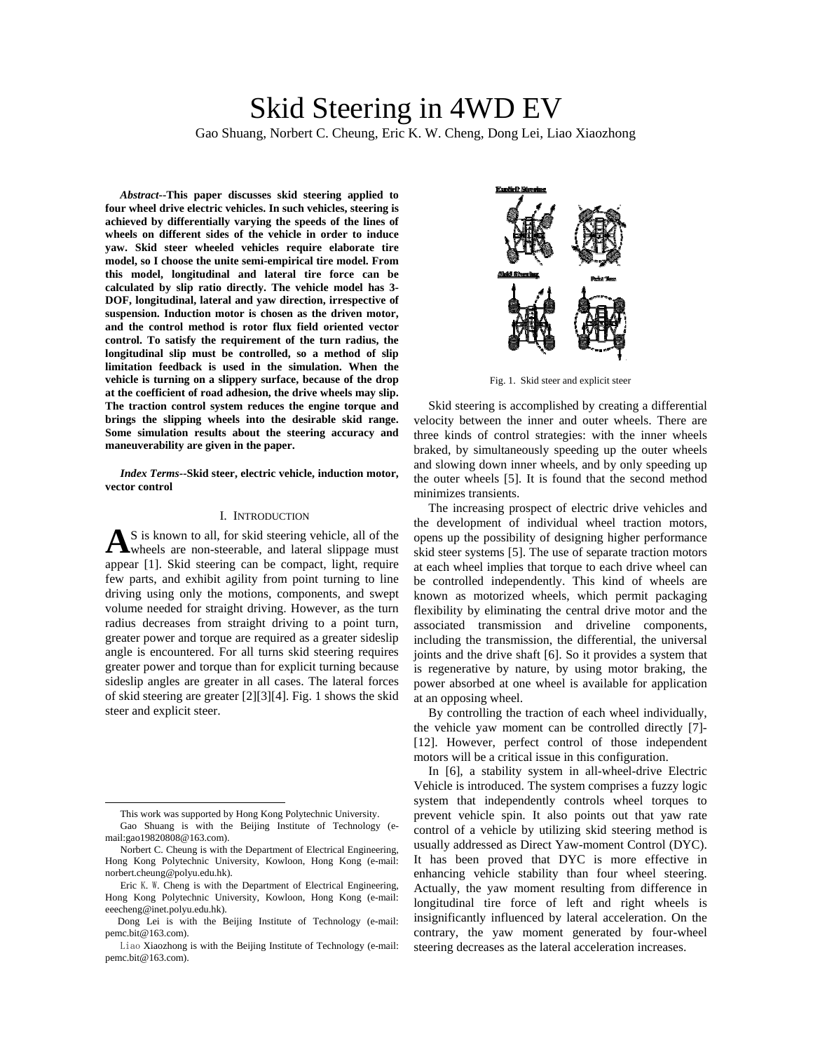# Skid Steering in 4WD EV

Gao Shuang, Norbert C. Cheung, Eric K. W. Cheng, Dong Lei, Liao Xiaozhong

*Abstract***--This paper discusses skid steering applied to four wheel drive electric vehicles. In such vehicles, steering is achieved by differentially varying the speeds of the lines of wheels on different sides of the vehicle in order to induce yaw. Skid steer wheeled vehicles require elaborate tire model, so I choose the unite semi-empirical tire model. From this model, longitudinal and lateral tire force can be calculated by slip ratio directly. The vehicle model has 3- DOF, longitudinal, lateral and yaw direction, irrespective of suspension. Induction motor is chosen as the driven motor, and the control method is rotor flux field oriented vector control. To satisfy the requirement of the turn radius, the longitudinal slip must be controlled, so a method of slip limitation feedback is used in the simulation. When the vehicle is turning on a slippery surface, because of the drop at the coefficient of road adhesion, the drive wheels may slip. The traction control system reduces the engine torque and brings the slipping wheels into the desirable skid range. Some simulation results about the steering accuracy and maneuverability are given in the paper.** 

*Index Terms***--Skid steer, electric vehicle, induction motor, vector control** 

## I. INTRODUCTION

S is known to all, for skid steering vehicle, all of the  $\mathbf{A}$  S is known to all, for skid steering vehicle, all of the wheels are non-steerable, and lateral slippage must appear [1]. Skid steering can be compact, light, require few parts, and exhibit agility from point turning to line driving using only the motions, components, and swept volume needed for straight driving. However, as the turn radius decreases from straight driving to a point turn, greater power and torque are required as a greater sideslip angle is encountered. For all turns skid steering requires greater power and torque than for explicit turning because sideslip angles are greater in all cases. The lateral forces of skid steering are greater [2][3][4]. Fig. 1 shows the skid steer and explicit steer.



Fig. 1. Skid steer and explicit steer

Skid steering is accomplished by creating a differential velocity between the inner and outer wheels. There are three kinds of control strategies: with the inner wheels braked, by simultaneously speeding up the outer wheels and slowing down inner wheels, and by only speeding up the outer wheels [5]. It is found that the second method minimizes transients.

The increasing prospect of electric drive vehicles and the development of individual wheel traction motors, opens up the possibility of designing higher performance skid steer systems [5]. The use of separate traction motors at each wheel implies that torque to each drive wheel can be controlled independently. This kind of wheels are known as motorized wheels, which permit packaging flexibility by eliminating the central drive motor and the associated transmission and driveline components, including the transmission, the differential, the universal joints and the drive shaft [6]. So it provides a system that is regenerative by nature, by using motor braking, the power absorbed at one wheel is available for application at an opposing wheel.

By controlling the traction of each wheel individually, the vehicle yaw moment can be controlled directly [7]- [12]. However, perfect control of those independent motors will be a critical issue in this configuration.

In [6], a stability system in all-wheel-drive Electric Vehicle is introduced. The system comprises a fuzzy logic system that independently controls wheel torques to prevent vehicle spin. It also points out that yaw rate control of a vehicle by utilizing skid steering method is usually addressed as Direct Yaw-moment Control (DYC). It has been proved that DYC is more effective in enhancing vehicle stability than four wheel steering. Actually, the yaw moment resulting from difference in longitudinal tire force of left and right wheels is insignificantly influenced by lateral acceleration. On the contrary, the yaw moment generated by four-wheel steering decreases as the lateral acceleration increases.

This work was supported by Hong Kong Polytechnic University.

Gao Shuang is with the Beijing Institute of Technology (email:gao19820808@163.com).

Norbert C. Cheung is with the Department of Electrical Engineering, Hong Kong Polytechnic University, Kowloon, Hong Kong (e-mail: norbert.cheung@polyu.edu.hk).

Eric K. W. Cheng is with the Department of Electrical Engineering, Hong Kong Polytechnic University, Kowloon, Hong Kong (e-mail: eeecheng@inet.polyu.edu.hk).

Dong Lei is with the Beijing Institute of Technology (e-mail: pemc.bit@163.com).

Liao Xiaozhong is with the Beijing Institute of Technology (e-mail: pemc.bit@163.com).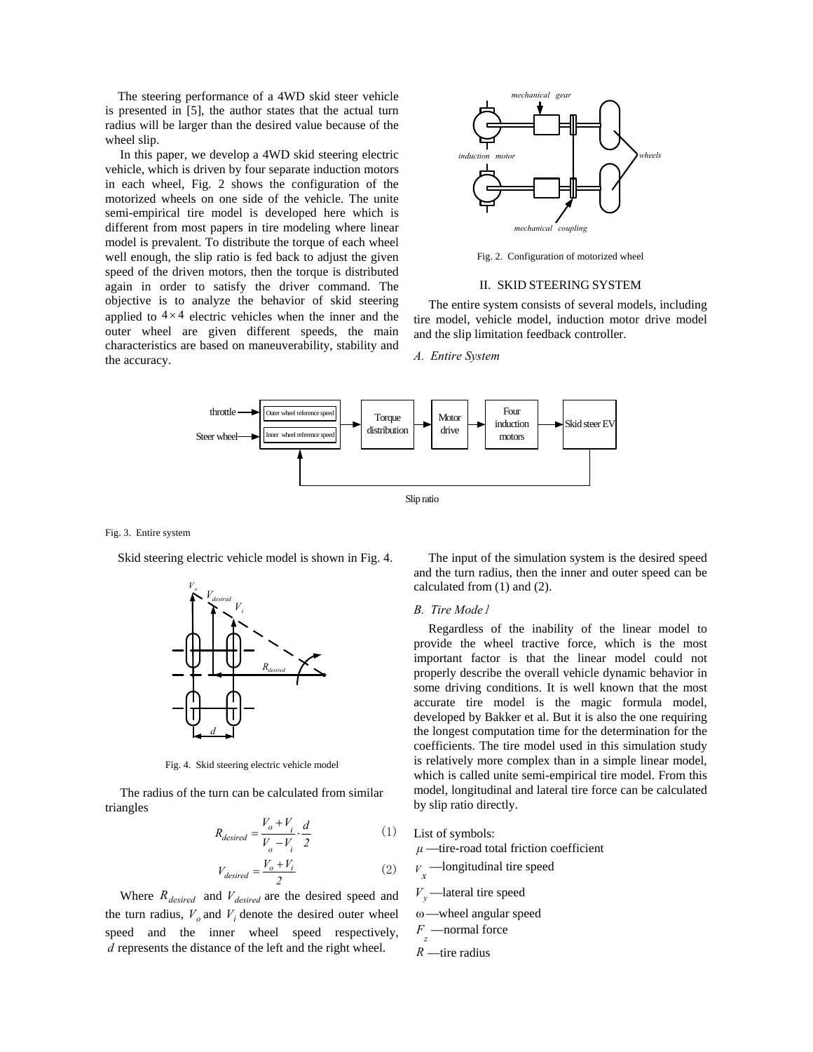The steering performance of a 4WD skid steer vehicle is presented in [5], the author states that the actual turn radius will be larger than the desired value because of the wheel slip.

In this paper, we develop a 4WD skid steering electric vehicle, which is driven by four separate induction motors in each wheel, Fig. 2 shows the configuration of the motorized wheels on one side of the vehicle. The unite semi-empirical tire model is developed here which is different from most papers in tire modeling where linear model is prevalent. To distribute the torque of each wheel well enough, the slip ratio is fed back to adjust the given speed of the driven motors, then the torque is distributed again in order to satisfy the driver command. The objective is to analyze the behavior of skid steering applied to  $4 \times 4$  electric vehicles when the inner and the outer wheel are given different speeds, the main characteristics are based on maneuverability, stability and the accuracy.



Fig. 2. Configuration of motorized wheel

## II. SKID STEERING SYSTEM

The entire system consists of several models, including tire model, vehicle model, induction motor drive model and the slip limitation feedback controller.

#### *A. Entire System*



#### Fig. 3. Entire system

Skid steering electric vehicle model is shown in Fig. 4.



Fig. 4. Skid steering electric vehicle model

The radius of the turn can be calculated from similar triangles

$$
R_{desired} = \frac{V_o + V_i}{V_o - V_i} \cdot \frac{d}{2}
$$
 (1)

$$
V_{desired} = \frac{V_o + V_i}{2} \tag{2}
$$

Where  $R_{desired}$  and  $V_{desired}$  are the desired speed and the turn radius,  $V<sub>o</sub>$  and  $V<sub>i</sub>$  denote the desired outer wheel speed and the inner wheel speed respectively, *d* represents the distance of the left and the right wheel.

The input of the simulation system is the desired speed and the turn radius, then the inner and outer speed can be calculated from (1) and (2).

#### *B. Tire Mode*l

Regardless of the inability of the linear model to provide the wheel tractive force, which is the most important factor is that the linear model could not properly describe the overall vehicle dynamic behavior in some driving conditions. It is well known that the most accurate tire model is the magic formula model, developed by Bakker et al. But it is also the one requiring the longest computation time for the determination for the coefficients. The tire model used in this simulation study is relatively more complex than in a simple linear model, which is called unite semi-empirical tire model. From this model, longitudinal and lateral tire force can be calculated by slip ratio directly.

#### List of symbols:

*μ* —tire-road total friction coefficient

- $V_x$  —longitudinal tire speed
- $V_v$ —lateral tire speed
- ω—wheel angular speed
- *z F* —normal force
- *R* —tire radius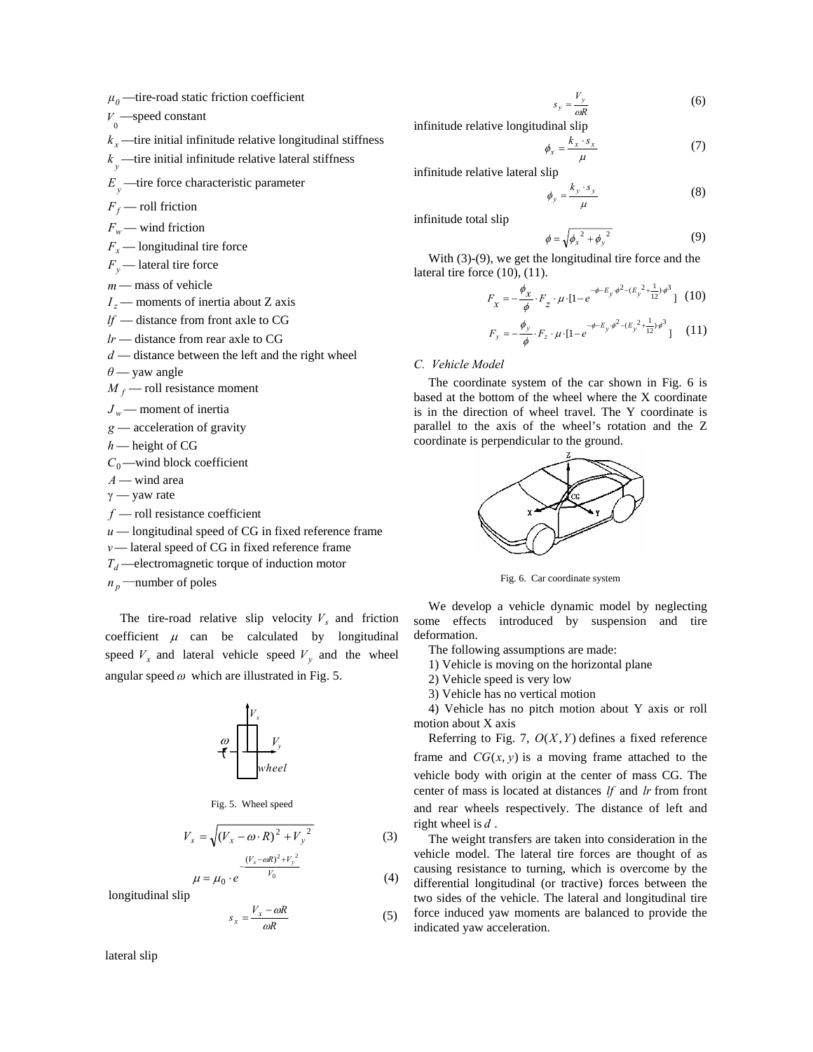- $\mu_0$ —tire-road static friction coefficient
- 0 *V* —speed constant
- $k<sub>x</sub>$ —tire initial infinitude relative longitudinal stiffness
- $k_y$ —tire initial infinitude relative lateral stiffness
- *E* —tire force characteristic parameter
- $F_f$  roll friction
- $F_w$  wind friction
- $F_r$  longitudinal tire force
- $F_v$  lateral tire force
- *m* mass of vehicle
- $I_z$  moments of inertia about Z axis
- *lf* distance from front axle to CG
- *lr* distance from rear axle to CG
- *d* distance between the left and the right wheel

*θ* — yaw angle

- $M_f$  roll resistance moment
- $J_w$  moment of inertia
- *g* acceleration of gravity
- *h* height of CG
- $C_0$ —wind block coefficient
- *A* wind area
- γ yaw rate
- *f* roll resistance coefficient
- *u* longitudinal speed of CG in fixed reference frame
- *v* lateral speed of CG in fixed reference frame
- $T_d$ —electromagnetic torque of induction motor

 $n_p$ —number of poles

The tire-road relative slip velocity  $V_s$  and friction coefficient  $\mu$  can be calculated by longitudinal speed  $V_x$  and lateral vehicle speed  $V_y$  and the wheel angular speed  $\omega$  which are illustrated in Fig. 5.

$$
\begin{array}{c}\n\varphi \\
\hline\n\end{array}
$$

Fig. 5. Wheel speed

$$
V_s = \sqrt{(V_x - \omega \cdot R)^2 + {V_y}^2}
$$
 (3)

$$
\mu = \mu_0 \cdot e^{-\frac{(V_x - \omega R)^2 + V_y^2}{V_0}}
$$
(4)

longitudinal slip

$$
s_x = \frac{V_x - \omega R}{\omega R} \tag{5}
$$

$$
s_y = \frac{V_y}{\omega R} \tag{6}
$$

infinitude relative longitudinal slip

 $\phi_x = \frac{k_x \cdot s_x}{\mu}$ (7)

infinitude relative lateral slip

 $\phi_y = \frac{k_y \cdot s_y}{\mu}$  (8)

 $\phi = \sqrt{{\phi_x}^2 + {\phi_y}^2}$  (9)

infinitude total slip

With (3)-(9), we get the longitudinal tire force and the lateral tire force  $(10)$ ,  $(11)$ .

$$
F_x = -\frac{\phi_x}{\phi} \cdot F_z \cdot \mu \cdot [1 - e^{-\phi - E_y \cdot \phi^2 - (E_y^2 + \frac{1}{12})\phi^3}] \tag{10}
$$

$$
F_y = -\frac{\phi_y}{\phi} \cdot F_z \cdot \mu \cdot [1 - e^{-\phi - E_y \cdot \phi^2 - (E_y^2 + \frac{1}{12})\phi^3}] \tag{11}
$$

## *C. Vehicle Model*

The coordinate system of the car shown in Fig. 6 is based at the bottom of the wheel where the X coordinate is in the direction of wheel travel. The Y coordinate is parallel to the axis of the wheel's rotation and the Z coordinate is perpendicular to the ground.



Fig. 6. Car coordinate system

We develop a vehicle dynamic model by neglecting some effects introduced by suspension and tire deformation.

The following assumptions are made:

- 1) Vehicle is moving on the horizontal plane
- 2) Vehicle speed is very low
- 3) Vehicle has no vertical motion

4) Vehicle has no pitch motion about Y axis or roll motion about X axis

Referring to Fig. 7,  $O(X, Y)$  defines a fixed reference frame and  $CG(x, y)$  is a moving frame attached to the vehicle body with origin at the center of mass CG. The center of mass is located at distances *lf* and *lr* from front and rear wheels respectively. The distance of left and right wheel is *d* .

The weight transfers are taken into consideration in the vehicle model. The lateral tire forces are thought of as causing resistance to turning, which is overcome by the differential longitudinal (or tractive) forces between the two sides of the vehicle. The lateral and longitudinal tire force induced yaw moments are balanced to provide the indicated yaw acceleration.

lateral slip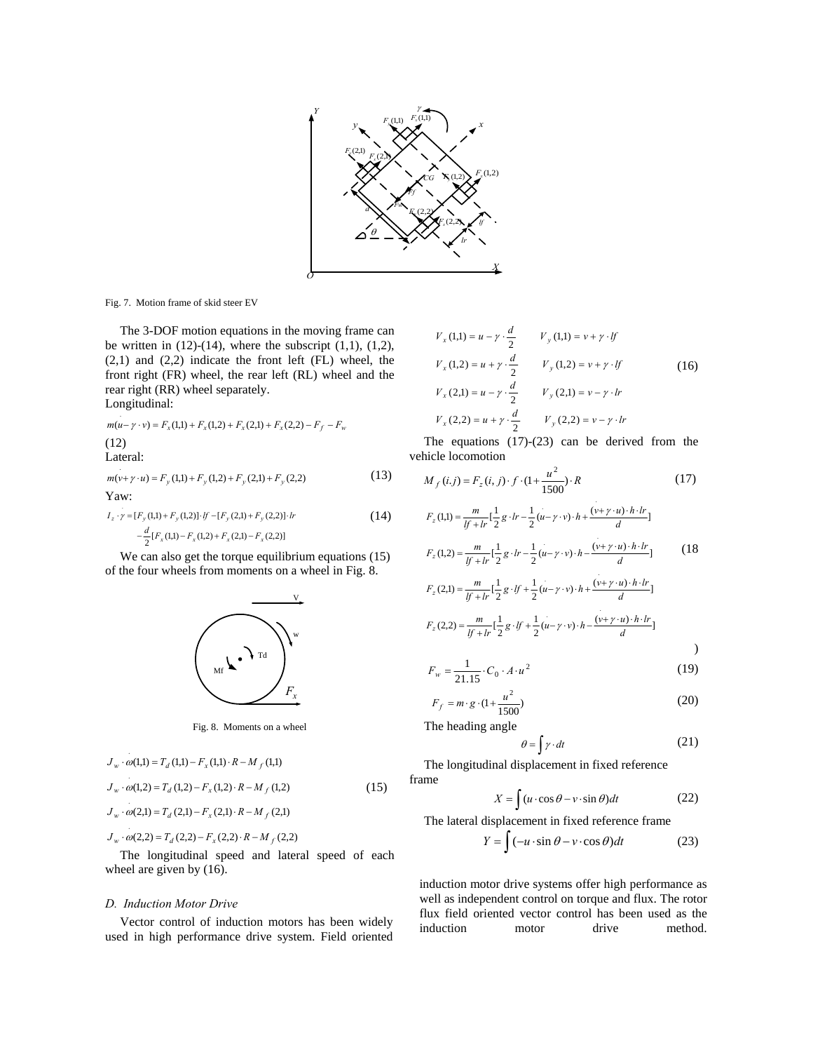

Fig. 7. Motion frame of skid steer EV

The 3-DOF motion equations in the moving frame can be written in  $(12)-(14)$ , where the subscript  $(1,1)$ ,  $(1,2)$ ,  $(2,1)$  and  $(2,2)$  indicate the front left  $(FL)$  wheel, the front right (FR) wheel, the rear left (RL) wheel and the rear right (RR) wheel separately. Longitudinal:

$$
m(u - \gamma \cdot v) = F_x(1,1) + F_x(1,2) + F_x(2,1) + F_x(2,2) - F_f - F_w
$$
  
(12)  
Lateral:

$$
m(\nu + \gamma \cdot u) = F_y(1,1) + F_y(1,2) + F_y(2,1) + F_y(2,2)
$$
\n(13)

Yaw:

$$
I_z \cdot \gamma = [F_y(1,1) + F_y(1,2)] \cdot [f - [F_y(2,1) + F_y(2,2)] \cdot lr
$$
  

$$
-\frac{d}{2} [F_x(1,1) - F_x(1,2) + F_x(2,1) - F_x(2,2)]
$$
 (14)

We can also get the torque equilibrium equations (15) of the four wheels from moments on a wheel in Fig. 8.



Fig. 8. Moments on a wheel

$$
J_w \cdot \omega(1,1) = T_d (1,1) - F_x (1,1) \cdot R - M_f (1,1)
$$
  
\n
$$
J_w \cdot \omega(1,2) = T_d (1,2) - F_x (1,2) \cdot R - M_f (1,2)
$$
  
\n
$$
J_w \cdot \omega(2,1) = T_d (2,1) - F_x (2,1) \cdot R - M_f (2,1)
$$
\n(15)

$$
J_w \cdot \omega(2,2) = T_d(2,2) - F_x(2,2) \cdot R - M_f(2,2)
$$

The longitudinal speed and lateral speed of each wheel are given by (16).

#### *D. Induction Motor Drive*

Vector control of induction motors has been widely used in high performance drive system. Field oriented

$$
V_x(1,1) = u - \gamma \cdot \frac{d}{2} \qquad V_y(1,1) = v + \gamma \cdot \frac{df}{dt}
$$
  
\n
$$
V_x(1,2) = u + \gamma \cdot \frac{d}{2} \qquad V_y(1,2) = v + \gamma \cdot \frac{df}{dt}
$$
  
\n
$$
V_x(2,1) = u - \gamma \cdot \frac{d}{2} \qquad V_y(2,1) = v - \gamma \cdot \frac{dr}{dt}
$$
  
\n
$$
V_x(2,2) = u + \gamma \cdot \frac{d}{2} \qquad V_y(2,2) = v - \gamma \cdot \frac{dr}{dt}
$$
 (16)

The equations (17)-(23) can be derived from the vehicle locomotion

$$
M_f(i,j) = F_z(i,j) \cdot f \cdot (1 + \frac{u^2}{1500}) \cdot R \tag{17}
$$

$$
F_z(1,1) = \frac{m}{lf + lr} \left[ \frac{1}{2} g \cdot lr - \frac{1}{2} (u - \gamma \cdot v) \cdot h + \frac{(v + \gamma \cdot u) \cdot h \cdot lr}{d} \right]
$$
  

$$
m = 1 \qquad (v + \gamma \cdot u) \cdot h \cdot lr
$$

$$
F_z(1,2) = \frac{m}{\sqrt{f} + lr} \left[ \frac{1}{2} g \cdot lr - \frac{1}{2} (u - \gamma \cdot v) \cdot h - \frac{(v + \gamma \cdot u) \cdot h \cdot lr}{d} \right]
$$
(18)

$$
F_z(2,1) = \frac{m}{\int f + lr} \left[ \frac{1}{2} g \cdot \int f + \frac{1}{2} (u - \gamma \cdot v) \cdot h + \frac{(v + \gamma \cdot u) \cdot h \cdot lr}{d} \right]
$$
  

$$
F_z(2,2) = \frac{m}{\int f + lr} \left[ \frac{1}{2} g \cdot \int f + \frac{1}{2} (u - \gamma \cdot v) \cdot h - \frac{(v + \gamma \cdot u) \cdot h \cdot lr}{d} \right]
$$

$$
F_w = \frac{1}{21.15} \cdot C_0 \cdot A \cdot u^2 \tag{19}
$$

 $F_f = m \cdot g \cdot (1 + \frac{u^2}{1500})$  (20)

The heading angle

$$
\cdot \, dt \tag{21}
$$

The longitudinal displacement in fixed reference frame

 $\theta = \int \gamma$ 

$$
X = \int (u \cdot \cos \theta - v \cdot \sin \theta) dt
$$
 (22)

The lateral displacement in fixed reference frame

$$
Y = \int (-u \cdot \sin \theta - v \cdot \cos \theta) dt
$$
 (23)

induction motor drive systems offer high performance as well as independent control on torque and flux. The rotor flux field oriented vector control has been used as the induction motor drive method.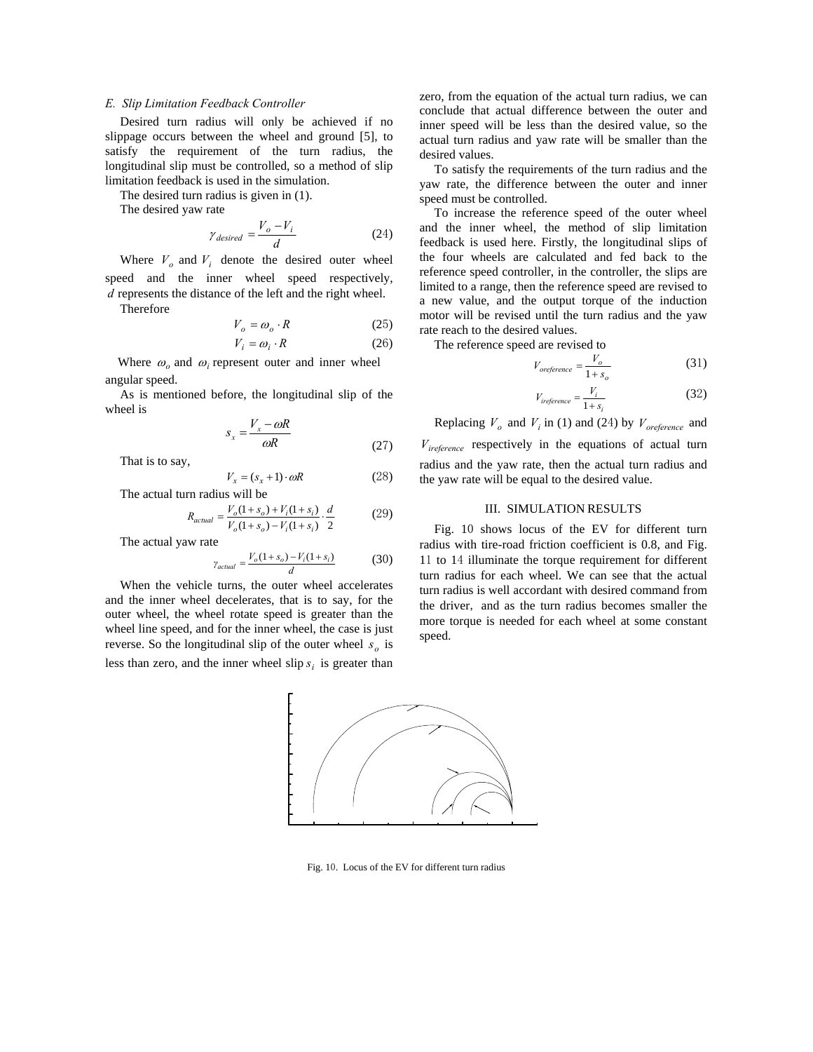## *E. Slip Limitation Feedback Controller*

Desired turn radius will only be achieved if no slippage occurs between the wheel and ground [5], to satisfy the requirement of the turn radius, the longitudinal slip must be controlled, so a method of slip limitation feedback is used in the simulation.

The desired turn radius is given in (1).

The desired yaw rate

$$
\gamma_{desired} = \frac{V_o - V_i}{d} \tag{24}
$$

Where  $V_o$  and  $V_i$  denote the desired outer wheel speed and the inner wheel speed respectively, *d* represents the distance of the left and the right wheel.

Therefore

$$
V_o = \omega_o \cdot R \tag{25}
$$
  

$$
V_i = \omega_i \cdot R \tag{26}
$$

Where  $\omega_o$  and  $\omega_i$  represent outer and inner wheel angular speed.

As is mentioned before, the longitudinal slip of the wheel is

$$
S_x = \frac{V_x - \omega R}{\omega R}
$$
 (27)

That is to say,

$$
V_x = (s_x + 1) \cdot \omega R \tag{28}
$$

The actual turn radius will be

$$
R_{actual} = \frac{V_o(1+s_o) + V_i(1+s_i)}{V_o(1+s_o) - V_i(1+s_i)} \cdot \frac{d}{2}
$$
 (29)

The actual yaw rate

$$
\gamma_{actual} = \frac{V_o(1+s_o) - V_i(1+s_i)}{d}
$$
 (30)

When the vehicle turns, the outer wheel accelerates and the inner wheel decelerates, that is to say, for the outer wheel, the wheel rotate speed is greater than the wheel line speed, and for the inner wheel, the case is just reverse. So the longitudinal slip of the outer wheel  $s<sub>o</sub>$  is less than zero, and the inner wheel slip  $s_i$  is greater than

zero, from the equation of the actual turn radius, we can conclude that actual difference between the outer and inner speed will be less than the desired value, so the actual turn radius and yaw rate will be smaller than the desired values.

To satisfy the requirements of the turn radius and the yaw rate, the difference between the outer and inner speed must be controlled.

To increase the reference speed of the outer wheel and the inner wheel, the method of slip limitation feedback is used here. Firstly, the longitudinal slips of the four wheels are calculated and fed back to the reference speed controller, in the controller, the slips are limited to a range, then the reference speed are revised to a new value, and the output torque of the induction motor will be revised until the turn radius and the yaw rate reach to the desired values.

The reference speed are revised to

$$
V_{oreference} = \frac{V_o}{1 + s_o} \tag{31}
$$

$$
V_{\text{reference}} = \frac{V_i}{1 + s_i} \tag{32}
$$

Replacing  $V_o$  and  $V_i$  in (1) and (24) by  $V_{\text{orderence}}$  and *Vireference* respectively in the equations of actual turn radius and the yaw rate, then the actual turn radius and the yaw rate will be equal to the desired value.

## III. SIMULATION RESULTS

Fig. 10 shows locus of the EV for different turn radius with tire-road friction coefficient is 0.8, and Fig. 11 to 14 illuminate the torque requirement for different turn radius for each wheel. We can see that the actual turn radius is well accordant with desired command from the driver, and as the turn radius becomes smaller the more torque is needed for each wheel at some constant speed.



Fig. 10. Locus of the EV for different turn radius